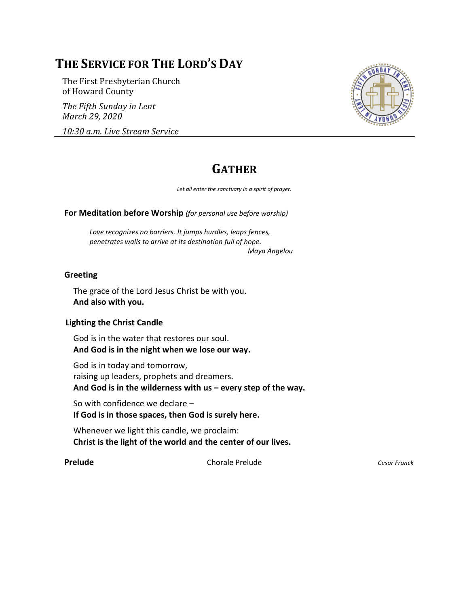# **THE SERVICE FOR THE LORD'S DAY**

The First Presbyterian Church of Howard County

*The Fifth Sunday in Lent March 29, 2020*

*10:30 a.m. Live Stream Service*



# **GATHER**

*Let all enter the sanctuary in a spirit of prayer.*

**For Meditation before Worship** *(for personal use before worship)*

*Love recognizes no barriers. It jumps hurdles, leaps fences, penetrates walls to arrive at its destination full of hope.*

*Maya Angelou*

#### **Greeting**

The grace of the Lord Jesus Christ be with you. **And also with you.**

#### **Lighting the Christ Candle**

God is in the water that restores our soul. **And God is in the night when we lose our way.**

God is in today and tomorrow, raising up leaders, prophets and dreamers. **And God is in the wilderness with us – every step of the way.**

So with confidence we declare – **If God is in those spaces, then God is surely here.**

Whenever we light this candle, we proclaim: **Christ is the light of the world and the center of our lives.**

**Prelude** Chorale Prelude *Cesar Franck*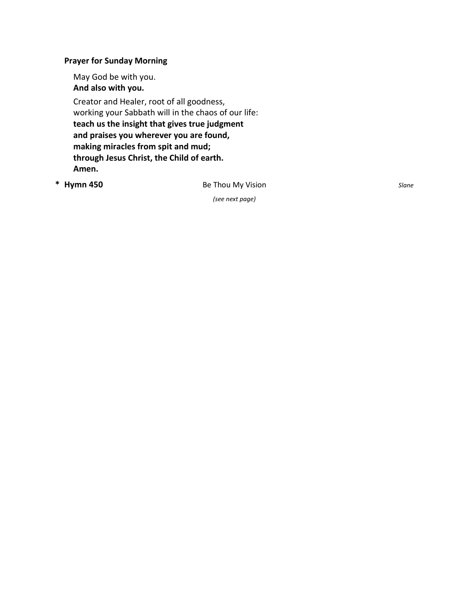### **Prayer for Sunday Morning**

May God be with you. **And also with you.**

Creator and Healer, root of all goodness, working your Sabbath will in the chaos of our life: **teach us the insight that gives true judgment and praises you wherever you are found, making miracles from spit and mud; through Jesus Christ, the Child of earth. Amen.**

 $*$  **Hymn 450** 

y Visi o *(see next page)*

n *Slane*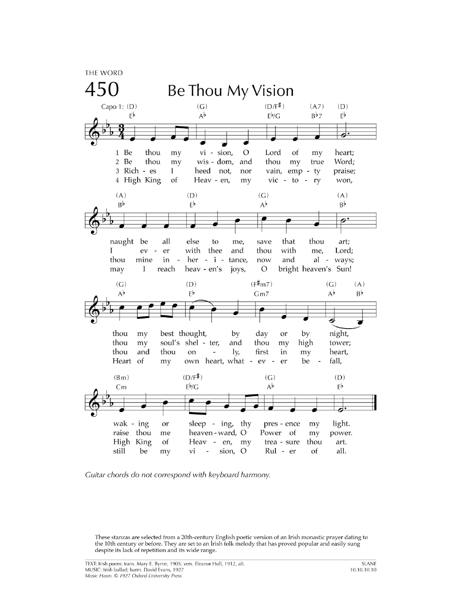

Guitar chords do not correspond with keyboard harmony.

These stanzas are selected from a 20th-century English poetic version of an Irish monastic prayer dating to the 10th century or before. They are set to an Irish folk melody that has proved popular and easily sung despite its lack of repetition and its wide range.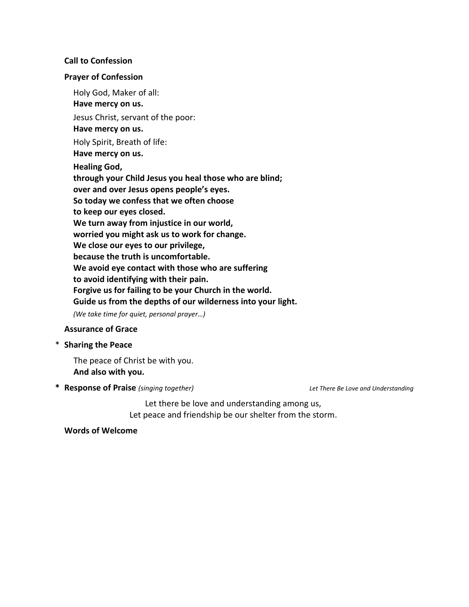#### **Call to Confession**

#### **Prayer of Confession**

Holy God, Maker of all: **Have mercy on us.** Jesus Christ, servant of the poor: **Have mercy on us.** Holy Spirit, Breath of life: **Have mercy on us. Healing God, through your Child Jesus you heal those who are blind; over and over Jesus opens people's eyes. So today we confess that we often choose to keep our eyes closed. We turn away from injustice in our world, worried you might ask us to work for change. We close our eyes to our privilege, because the truth is uncomfortable. We avoid eye contact with those who are suffering to avoid identifying with their pain. Forgive us for failing to be your Church in the world. Guide us from the depths of our wilderness into your light.** *(We take time for quiet, personal prayer…)*

### **Assurance of Grace**

\* **Sharing the Peace**

The peace of Christ be with you. **And also with you.**

**\* Response of Praise** *(singing together) Let There Be Love and Understanding*

Let there be love and understanding among us, Let peace and friendship be our shelter from the storm.

#### **Words of Welcome**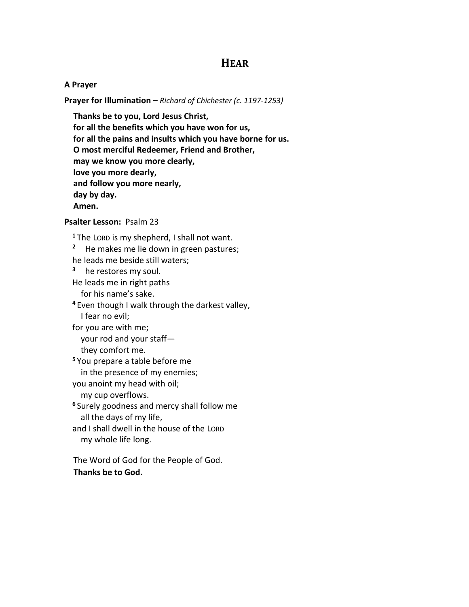## **HEAR**

#### **A Prayer**

**Prayer for Illumination –** *Richard of Chichester (c. 1197-1253)*

**Thanks be to you, Lord Jesus Christ, for all the benefits which you have won for us, for all the pains and insults which you have borne for us. O most merciful Redeemer, Friend and Brother, may we know you more clearly, love you more dearly, and follow you more nearly, day by day. Amen.**

#### **Psalter Lesson:** Psalm 23

**<sup>1</sup>** The LORD is my shepherd, I shall not want.

**2** He makes me lie down in green pastures;

he leads me beside still waters;

**3** he restores my soul.

He leads me in right paths for his name's sake.

**<sup>4</sup>** Even though I walk through the darkest valley, I fear no evil;

for you are with me; your rod and your staff—

they comfort me.

**<sup>5</sup>** You prepare a table before me

in the presence of my enemies;

you anoint my head with oil;

my cup overflows.

**<sup>6</sup>** Surely goodness and mercy shall follow me all the days of my life,

and I shall dwell in the house of the LORD my whole life long.

The Word of God for the People of God. **Thanks be to God.**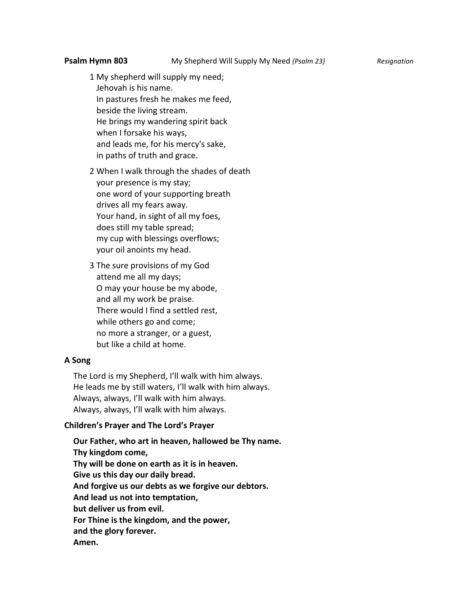1 My shepherd will supply my need; Jehovah is his name. In pastures fresh he makes me feed, beside the living stream. He brings my wandering spirit back when I forsake his ways, and leads me, for his mercy's sake, in paths of truth and grace.

2 When I walk through the shades of death your presence is my stay; one word of your supporting breath drives all my fears away. Your hand, in sight of all my foes, does still my table spread; my cup with blessings overflows; your oil anoints my head.

3 The sure provisions of my God attend me all my days; O may your house be my abode, and all my work be praise. There would I find a settled rest, while others go and come; no more a stranger, or a guest, but like a child at home.

#### **A Song**

The Lord is my Shepherd, I'll walk with him always. He leads me by still waters, I'll walk with him always. Always, always, I'll walk with him always. Always, always, I'll walk with him always.

#### **Children's Prayer and The Lord's Prayer**

**Our Father, who art in heaven, hallowed be Thy name. Thy kingdom come, Thy will be done on earth as it is in heaven. Give us this day our daily bread. And forgive us our debts as we forgive our debtors. And lead us not into temptation, but deliver us from evil. For Thine is the kingdom, and the power, and the glory forever. Amen.**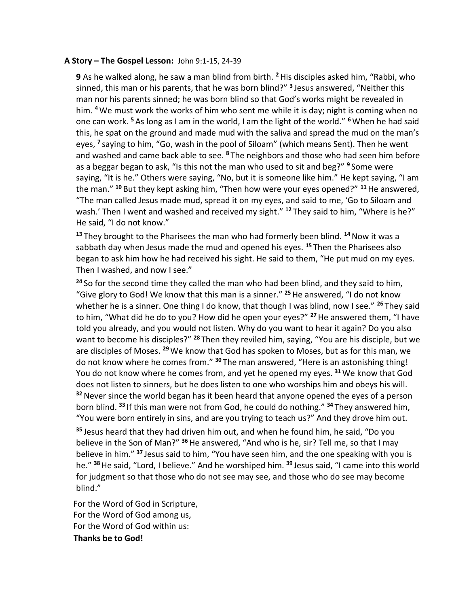#### **A Story – The Gospel Lesson:** John 9:1-15, 24-39

**9** As he walked along, he saw a man blind from birth. **<sup>2</sup>**His disciples asked him, "Rabbi, who sinned, this man or his parents, that he was born blind?" **<sup>3</sup>** Jesus answered, "Neither this man nor his parents sinned; he was born blind so that God's works might be revealed in him. **<sup>4</sup>** We must work the works of him who sent me while it is day; night is coming when no one can work. **<sup>5</sup>** As long as I am in the world, I am the light of the world." **<sup>6</sup>**When he had said this, he spat on the ground and made mud with the saliva and spread the mud on the man's eyes, **<sup>7</sup>** saying to him, "Go, wash in the pool of Siloam" (which means Sent). Then he went and washed and came back able to see. **<sup>8</sup>** The neighbors and those who had seen him before as a beggar began to ask, "Is this not the man who used to sit and beg?" **<sup>9</sup>** Some were saying, "It is he." Others were saying, "No, but it is someone like him." He kept saying, "I am the man." **<sup>10</sup>** But they kept asking him, "Then how were your eyes opened?" **<sup>11</sup>**He answered, "The man called Jesus made mud, spread it on my eyes, and said to me, 'Go to Siloam and wash.' Then I went and washed and received my sight." <sup>12</sup> They said to him, "Where is he?" He said, "I do not know."

**<sup>13</sup>** They brought to the Pharisees the man who had formerly been blind. **<sup>14</sup>**Now it was a sabbath day when Jesus made the mud and opened his eyes. **<sup>15</sup>** Then the Pharisees also began to ask him how he had received his sight. He said to them, "He put mud on my eyes. Then I washed, and now I see."

**<sup>24</sup>** So for the second time they called the man who had been blind, and they said to him, "Give glory to God! We know that this man is a sinner." **<sup>25</sup>**He answered, "I do not know whether he is a sinner. One thing I do know, that though I was blind, now I see." **<sup>26</sup>** They said to him, "What did he do to you? How did he open your eyes?" **<sup>27</sup>**He answered them, "I have told you already, and you would not listen. Why do you want to hear it again? Do you also want to become his disciples?" **<sup>28</sup>** Then they reviled him, saying, "You are his disciple, but we are disciples of Moses. **<sup>29</sup>**We know that God has spoken to Moses, but as for this man, we do not know where he comes from." **<sup>30</sup>** The man answered, "Here is an astonishing thing! You do not know where he comes from, and yet he opened my eyes. **<sup>31</sup>** We know that God does not listen to sinners, but he does listen to one who worships him and obeys his will. **<sup>32</sup>**Never since the world began has it been heard that anyone opened the eyes of a person born blind. **<sup>33</sup>** If this man were not from God, he could do nothing." **<sup>34</sup>** They answered him, "You were born entirely in sins, and are you trying to teach us?" And they drove him out.

**<sup>35</sup>** Jesus heard that they had driven him out, and when he found him, he said, "Do you believe in the Son of Man?" **<sup>36</sup>**He answered, "And who is he, sir? Tell me, so that I may believe in him." **<sup>37</sup>** Jesus said to him, "You have seen him, and the one speaking with you is he." **<sup>38</sup>**He said, "Lord, I believe." And he worshiped him. **<sup>39</sup>** Jesus said, "I came into this world for judgment so that those who do not see may see, and those who do see may become blind."

For the Word of God in Scripture, For the Word of God among us, For the Word of God within us: **Thanks be to God!**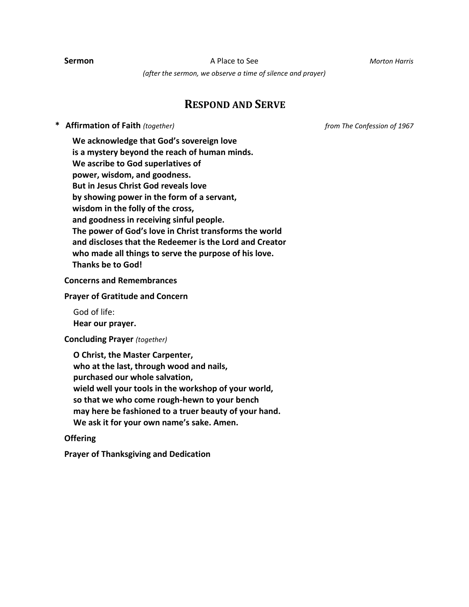**Sermon** A Place to See *Morton Harris*

*(after the sermon, we observe a time of silence and prayer)*

## **RESPOND AND SERVE**

**\* Affirmation of Faith** *(together) from The Confession of 1967*

**We acknowledge that God's sovereign love is a mystery beyond the reach of human minds. We ascribe to God superlatives of power, wisdom, and goodness. But in Jesus Christ God reveals love by showing power in the form of a servant, wisdom in the folly of the cross, and goodness in receiving sinful people. The power of God's love in Christ transforms the world and discloses that the Redeemer is the Lord and Creator who made all things to serve the purpose of his love. Thanks be to God!**

**Concerns and Remembrances**

**Prayer of Gratitude and Concern**

God of life:

**Hear our prayer.**

**Concluding Prayer** *(together)*

**O Christ, the Master Carpenter, who at the last, through wood and nails, purchased our whole salvation, wield well your tools in the workshop of your world, so that we who come rough-hewn to your bench may here be fashioned to a truer beauty of your hand. We ask it for your own name's sake. Amen.**

#### **Offering**

**Prayer of Thanksgiving and Dedication**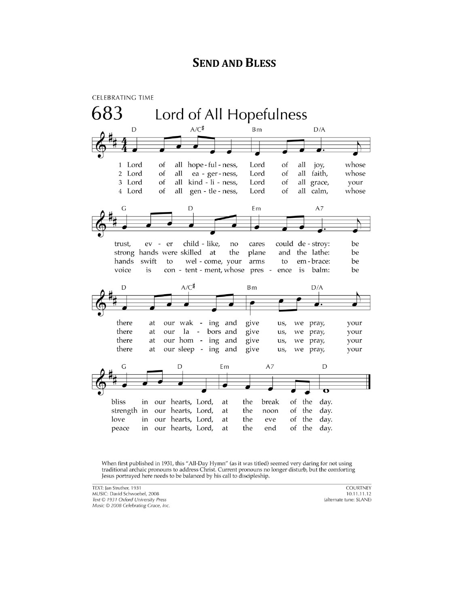# **SEND AND BLESS**



When first published in 1931, this "All-Day Hymn" (as it was titled) seemed very daring for not using traditional archaic pronouns to address Christ. Current pronouns no longer disturb, but the comforting Jesus portrayed here needs to be balanced by his call to discipleship.

TEXT: Jan Struther, 1931 MUSIC: David Schwoebel, 2008 Text © 1931 Oxford University Press Music © 2008 Celebrating Grace, Inc.

**COURTNEY** 10.11.11.12 (alternate tune: SLANE)